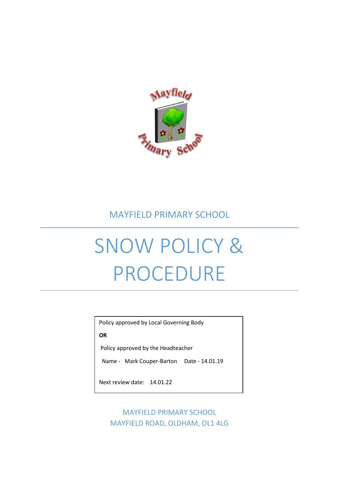

## MAYFIELD PRIMARY SCHOOL

# SNOW POLICY & PROCEDURE

Policy approved by Local Governing Body

**OR**

Policy approved by the Headteacher

Name - Mark Couper-Barton Date - 14.01.19

Next review date: 14.01.22

MAYFIELD PRIMARY SCHOOL MAYFIELD ROAD, OLDHAM, OL1 4LG